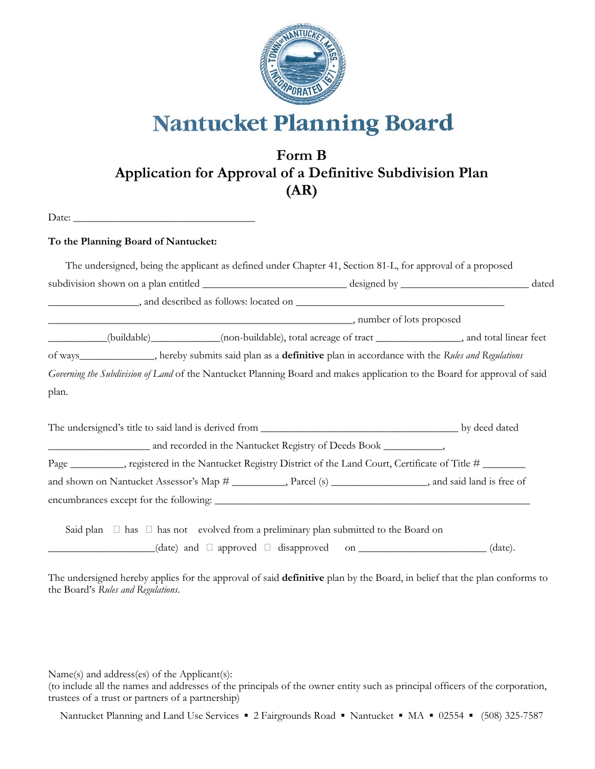

**Nantucket Planning Board** 

## **Form B Application for Approval of a Definitive Subdivision Plan (AR)**

Date: \_\_\_\_\_\_\_\_\_\_\_\_\_\_\_\_\_\_\_\_\_\_\_\_\_\_\_\_\_\_\_\_\_\_

## **To the Planning Board of Nantucket:**

|                                                                                                                                                                   | The undersigned, being the applicant as defined under Chapter 41, Section 81-L, for approval of a proposed                                                                                          |  |  |
|-------------------------------------------------------------------------------------------------------------------------------------------------------------------|-----------------------------------------------------------------------------------------------------------------------------------------------------------------------------------------------------|--|--|
|                                                                                                                                                                   |                                                                                                                                                                                                     |  |  |
|                                                                                                                                                                   |                                                                                                                                                                                                     |  |  |
|                                                                                                                                                                   |                                                                                                                                                                                                     |  |  |
| $\begin{array}{c} \begin{array}{c} \begin{array}{c} \begin{array}{c} \end{array} \\ \begin{array}{c} \end{array} \end{array} \end{array} \end{array} \end{array}$ | (buildable)_____________(non-buildable), total acreage of tract ________________, and total linear feet                                                                                             |  |  |
| of ways______________, hereby submits said plan as a definitive plan in accordance with the Rules and Regulations                                                 |                                                                                                                                                                                                     |  |  |
| Governing the Subdivision of Land of the Nantucket Planning Board and makes application to the Board for approval of said                                         |                                                                                                                                                                                                     |  |  |
| plan.                                                                                                                                                             |                                                                                                                                                                                                     |  |  |
|                                                                                                                                                                   |                                                                                                                                                                                                     |  |  |
|                                                                                                                                                                   |                                                                                                                                                                                                     |  |  |
| Page ___________, registered in the Nantucket Registry District of the Land Court, Certificate of Title # ______                                                  |                                                                                                                                                                                                     |  |  |
| and shown on Nantucket Assessor's Map # _________, Parcel (s) _______________, and said land is free of                                                           |                                                                                                                                                                                                     |  |  |
|                                                                                                                                                                   |                                                                                                                                                                                                     |  |  |
|                                                                                                                                                                   | Said plan $\Box$ has $\Box$ has not evolved from a preliminary plan submitted to the Board on<br>$(\text{date})$ and $\square$ approved $\square$ disapproved on ___________________________(date). |  |  |
|                                                                                                                                                                   |                                                                                                                                                                                                     |  |  |

The undersigned hereby applies for the approval of said **definitive** plan by the Board, in belief that the plan conforms to the Board's *Rules and Regulations*.

Name(s) and address(es) of the Applicant(s):

(to include all the names and addresses of the principals of the owner entity such as principal officers of the corporation, trustees of a trust or partners of a partnership)

Nantucket Planning and Land Use Services · 2 Fairgrounds Road · Nantucket · MA · 02554 · (508) 325-7587